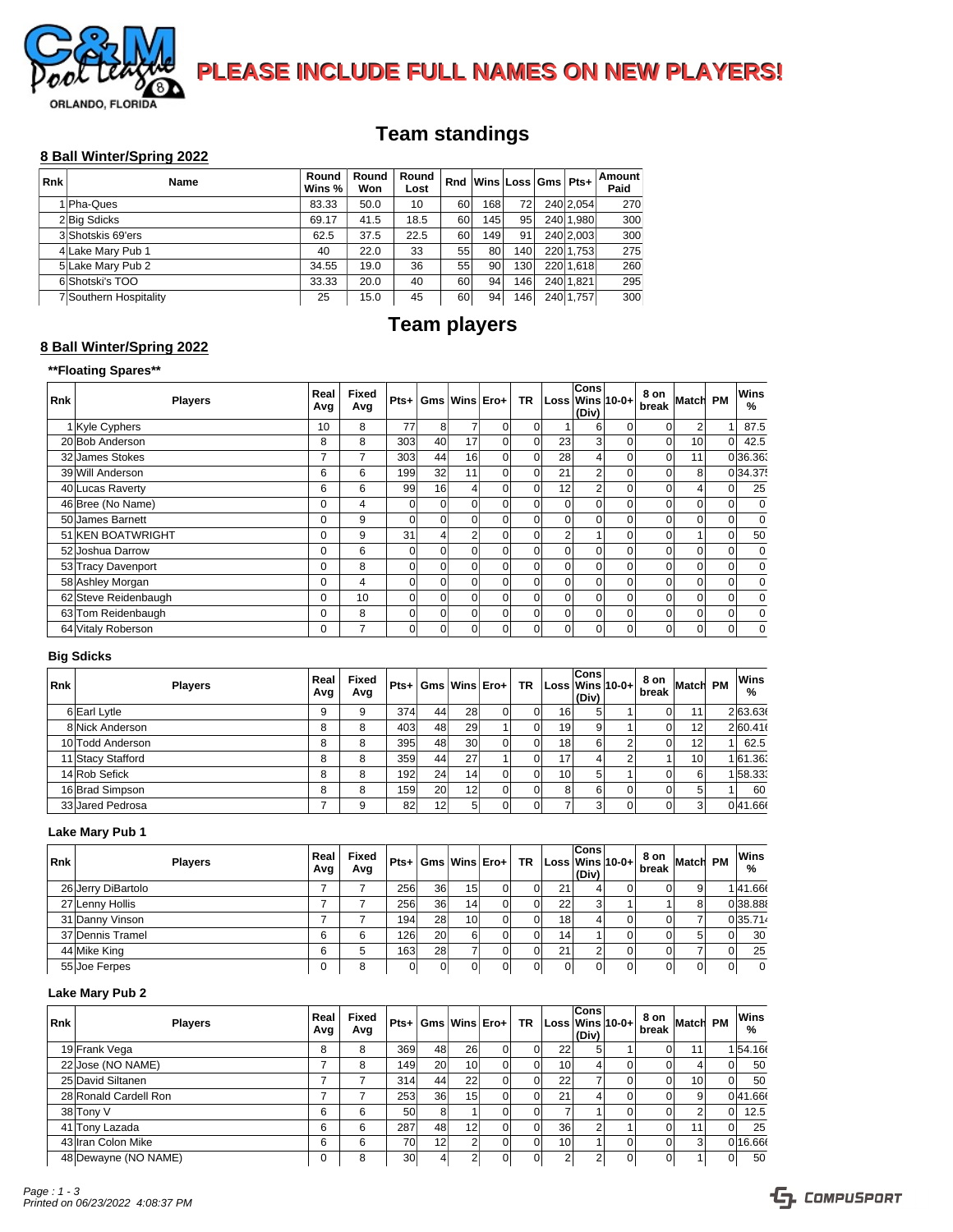

**PLEASE INCLUDE FULL NAMES ON NEW PLAYERS!** 

# **Team standings**

#### **8 Ball Winter/Spring 2022**

| <b>Rnk</b> | Name                   | Round<br>Wins % | Round<br>Won | Round<br>Lost | Rnd | Wins Loss Gms   Pts+ |     |           | Amount<br>Paid |
|------------|------------------------|-----------------|--------------|---------------|-----|----------------------|-----|-----------|----------------|
|            | 1 Pha-Ques             | 83.33           | 50.0         | 10            | 60  | 168i                 | 72  | 240 2.054 | 270            |
|            | 2Big Sdicks            | 69.17           | 41.5         | 18.5          | 60  | 145                  | 95  | 240 1.980 | 300            |
|            | 3 Shotskis 69'ers      | 62.5            | 37.5         | 22.5          | 60  | 149                  | 91  | 240 2.003 | 300            |
|            | 4 Lake Mary Pub 1      | 40              | 22.0         | 33            | 55  | 80                   | 140 | 220 1.753 | 275            |
|            | 5 Lake Mary Pub 2      | 34.55           | 19.0         | 36            | 55  | 90                   | 130 | 220 1.618 | 260            |
|            | 6 Shotski's TOO        | 33.33           | 20.0         | 40            | 60  | 94                   | 146 | 240 1.821 | 295            |
|            | 7 Southern Hospitality | 25              | 15.0         | 45            | 60  | 94                   | 146 | 240 1,757 | 300            |

# **Team players**

## **8 Ball Winter/Spring 2022**

## **\*\*Floating Spares\*\***

| <b>Rnk</b> | <b>Players</b>       | Real<br>Avg | Fixed<br>Avg |          |                 | $Pts+ Gms Wins Ero+$ |          | TR I     | Loss Wins 10-0+ | Cons<br>(Div)  |                | 8 on<br>break | <b>Match</b>    | <b>PM</b>    | Wins<br>% |
|------------|----------------------|-------------|--------------|----------|-----------------|----------------------|----------|----------|-----------------|----------------|----------------|---------------|-----------------|--------------|-----------|
|            | 1 Kyle Cyphers       | 10          | 8            | 77       | 8               | 7                    | $\Omega$ | $\Omega$ |                 | 6              | $\overline{0}$ |               |                 |              | 87.5      |
|            | 20 Bob Anderson      | 8           | 8            | 303      | 40              | 17                   | $\Omega$ | 0        | 23              | 31             | 0              | $\Omega$      | 10 <sup>1</sup> | $\Omega$     | 42.5      |
|            | 32 James Stokes      | 7           | 7            | 303      | 44              | 16                   | $\Omega$ | $\Omega$ | 28              | 4              | $\Omega$       |               | 11              |              | 0 36.36   |
|            | 39 Will Anderson     | 6           | 6            | 199      | 32              | 11                   | $\Omega$ | $\Omega$ | 21              | $\overline{2}$ | $\Omega$       |               | 8               |              | 034.37    |
|            | 40 Lucas Raverty     | 6           | 6            | 99       | 16 <sup>1</sup> |                      | $\Omega$ | $\Omega$ | 12              | $\overline{2}$ | $\Omega$       |               |                 |              | 25        |
|            | 46 Bree (No Name)    | $\Omega$    | 4            | $\Omega$ | $\Omega$        | $\Omega$             | $\Omega$ | $\Omega$ | $\Omega$        | $\Omega$       | $\Omega$       |               |                 | $\Omega$     | $\Omega$  |
|            | 50 James Barnett     | $\Omega$    | 9            | $\Omega$ | $\Omega$        | $\Omega$             | $\Omega$ | $\Omega$ | $\mathbf{0}$    | $\Omega$       | 0              |               |                 |              | $\Omega$  |
|            | 51 KEN BOATWRIGHT    | $\Omega$    | 9            | 31       | 4 <sub>1</sub>  | $\mathcal{P}$        | $\Omega$ | $\Omega$ | 2               |                | $\Omega$       |               |                 |              | 50        |
|            | 52 Joshua Darrow     | $\Omega$    | 6            | $\Omega$ | $\Omega$        | $\Omega$             | $\Omega$ | $\Omega$ | $\Omega$        | $\Omega$       |                |               |                 |              |           |
|            | 53 Tracy Davenport   | 0           | 8            | $\Omega$ | $\Omega$        | $\Omega$             | $\Omega$ | $\Omega$ | $\mathbf{0}$    | $\Omega$       | $\Omega$       |               |                 |              |           |
|            | 58 Ashley Morgan     | $\Omega$    | 4            | $\Omega$ | $\Omega$        | $\Omega$             | $\Omega$ | $\Omega$ | $\Omega$        | $\Omega$       | $\Omega$       |               |                 |              |           |
|            | 62 Steve Reidenbaugh | $\Omega$    | 10           | $\Omega$ | $\Omega$        | $\Omega$             | $\Omega$ | $\Omega$ | $\Omega$        | $\Omega$       | $\Omega$       |               |                 |              |           |
|            | 63 Tom Reidenbaugh   | $\Omega$    | 8            | $\Omega$ | $\Omega$        | $\Omega$             | $\Omega$ | $\Omega$ | $\Omega$        | ΩI             | $\Omega$       |               |                 |              | $\Omega$  |
|            | 64 Vitaly Roberson   | 0           | 7            | $\Omega$ | $\Omega$        | $\Omega$             | $\Omega$ | $\Omega$ | $\mathbf{0}$    | $\Omega$       | $\Omega$       | $\Omega$      | $\Omega$        | $\Omega_{1}$ | $\Omega$  |

### **Big Sdicks**

| <b>Rnk</b> | <b>Players</b>    | Real<br>Avg | Fixed<br>Avg |      |                 |                 | $Pts +  Gms $ Wins $ Ero+ $ | $TR  Loss Wins 10-0+ $ | Cons<br>(Div) | 8 on Match PM |                 | Wins<br>% |
|------------|-------------------|-------------|--------------|------|-----------------|-----------------|-----------------------------|------------------------|---------------|---------------|-----------------|-----------|
|            | 6 Earl Lytle      | 9           | 9            | 374  | 44              | 28              |                             | 16 <sup>1</sup>        |               |               | 11 <sub>1</sub> | 2 63.63   |
|            | 8 Nick Anderson   | 8           | 8            | 403  | 48              | 29              |                             | 19 <sup>1</sup>        | 9             |               | 12 <sup>1</sup> | 2 60.41   |
|            | 10 Todd Anderson  | 8           | 8            | 395  | 48              | 30 <sup>1</sup> |                             | 18 <sup>1</sup>        | 6             |               | 12 <sup>1</sup> | 62.5      |
|            | 11 Stacy Stafford | 8           | 8            | 359  | 44              | 27              |                             | 17                     |               |               | 10 <sup>1</sup> | 1 61.361  |
|            | 14 Rob Sefick     | 8           | 8            | 1921 | 24 <sub>1</sub> | 14              |                             | 10 <sup>1</sup>        |               |               | 61              | 158.33    |
|            | 16 Brad Simpson   | 8           | 8            | 159  | <b>20</b>       | 12 <sub>1</sub> |                             | 81                     | 6             |               |                 | 60        |
|            | 33 Jared Pedrosa  |             | 9            | 82   | 12              | 51              |                             |                        | 3             |               |                 | 041.66    |

## **Lake Mary Pub 1**

| <b>Rnk</b> | <b>Players</b>     | Real<br>Avg | Fixed<br>Avg |                  |           |                 |  | $Pts +  Gms $ Wins $ Ero+ TR $ Loss Wins $ 10-0+ $ | Cons<br>(Div) | 8 on Match PM |    | Wins<br>$\frac{9}{6}$ |
|------------|--------------------|-------------|--------------|------------------|-----------|-----------------|--|----------------------------------------------------|---------------|---------------|----|-----------------------|
|            | 26 Jerry DiBartolo |             |              | 256              | 36        | 15 <sup>1</sup> |  | 21                                                 |               |               |    | 141.66                |
|            | 27 Lenny Hollis    |             |              | 256              | 36        | 14              |  | 22                                                 | ົ             |               |    | 038.88                |
|            | 31 Danny Vinson    |             |              | 194 <sub>1</sub> | 28        | 10 <sup>1</sup> |  | 18 <sup>1</sup>                                    |               |               |    | 0 35.714              |
|            | 37 Dennis Tramel   | 6           | 6            | 126              | <b>20</b> | 61              |  | 14                                                 |               |               |    | 30                    |
|            | 44 Mike King       | 6           | b            | 163              | 28        |                 |  | 21                                                 |               |               |    | 25                    |
|            | 55 Joe Ferpes      | υ           | 8            |                  |           | ור              |  |                                                    | $\Omega$      |               | οı |                       |

#### **Lake Mary Pub 2**

| Rnk | <b>Players</b>        | Real<br>Avg | Fixed<br>Avg |                 |                 |                 |    |                 | <b>Cons</b><br>$ $ (Div) $ $ | $Pts+ Gms Wins Ero+ TR Loss Wins 10-0+ $ | 8 on Match PM<br>break |                 | Wins<br>%       |
|-----|-----------------------|-------------|--------------|-----------------|-----------------|-----------------|----|-----------------|------------------------------|------------------------------------------|------------------------|-----------------|-----------------|
|     | 19 Frank Vega         | 8           | 8            | 369             | 48              | 26              | Οl | 221             |                              |                                          |                        |                 | 154.16          |
|     | 22 Jose (NO NAME)     |             | 8            | 149             | <b>20</b>       | 10 <sub>1</sub> | ΩI | 10 <sup>1</sup> |                              |                                          |                        |                 | 50              |
|     | 25 David Siltanen     | -           |              | 314             | 44              | 22              | nı | 22              |                              |                                          |                        | 10 <sup>1</sup> | 50              |
|     | 28 Ronald Cardell Ron | -           |              | 253             | 36 <sup>1</sup> | 151             | ωı | 21              |                              |                                          |                        |                 | 041.66          |
|     | 38 Tony V             | 6           | 6            | 50              | 81              |                 | nı |                 |                              |                                          |                        |                 | 12.5            |
|     | 41 Tony Lazada        | 6           | 6            | 287             | 48              | 12              | n۱ | 36 <sup>°</sup> |                              |                                          |                        |                 | 25 <sub>1</sub> |
|     | 43 Iran Colon Mike    | 6           | 6            | 70              | 12              |                 | ΩI | 10 <sup>1</sup> |                              |                                          |                        |                 | 0 16.66         |
|     | 48 Dewayne (NO NAME)  | 0           | 8            | 30 <sup>1</sup> |                 |                 | 01 |                 |                              | 0                                        |                        |                 | 50              |

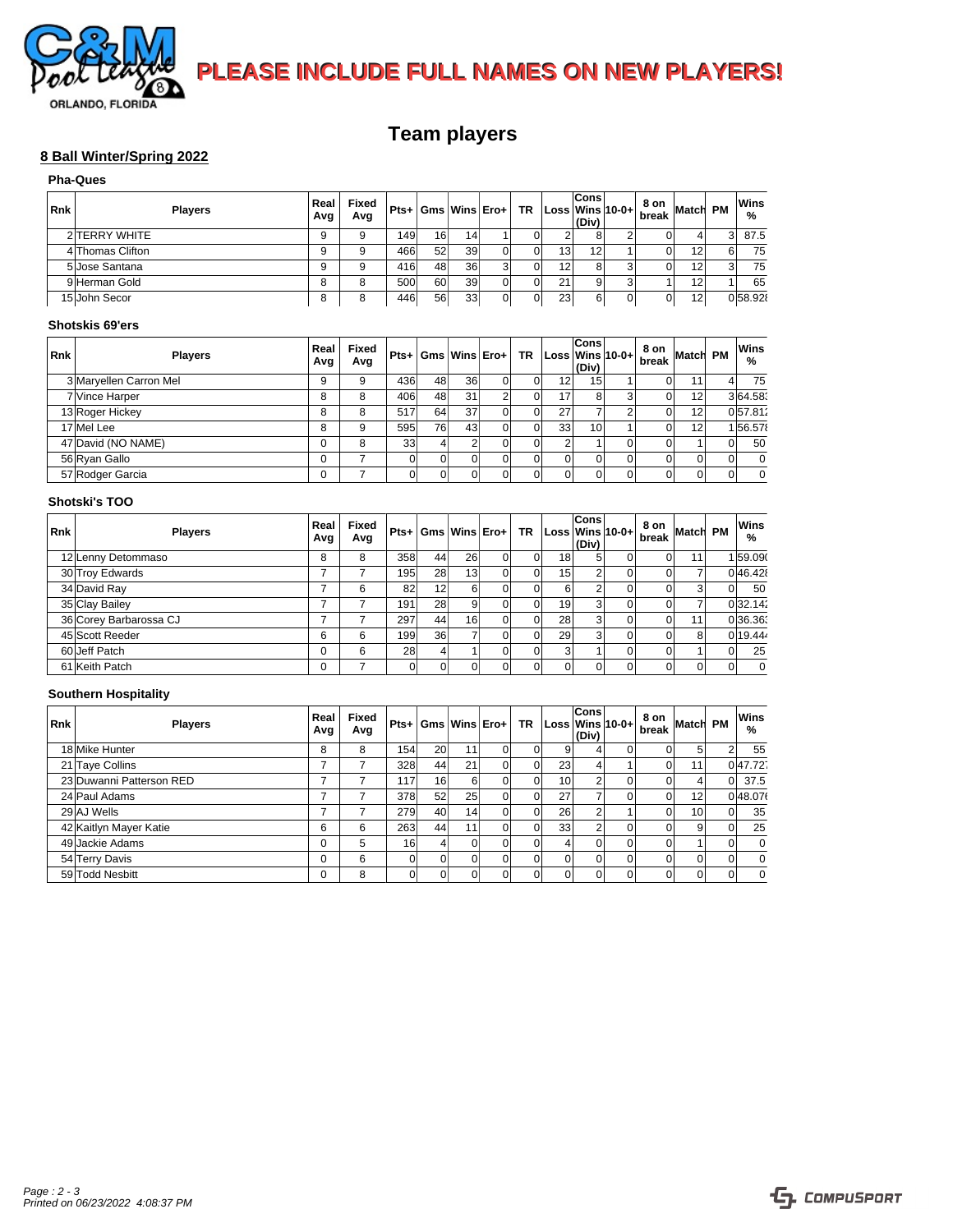

 **PLEASE INCLUDE FULL NAMES ON NEW PLAYERS!** 

# **Team players**

## **8 Ball Winter/Spring 2022**

|     | <b>Pha-Ques</b>  |             |              |     |    |    |                             |                 |                      |                        |               |                 |           |
|-----|------------------|-------------|--------------|-----|----|----|-----------------------------|-----------------|----------------------|------------------------|---------------|-----------------|-----------|
| Rnk | <b>Players</b>   | Real<br>Avg | Fixed<br>Avg |     |    |    | $Pts +  Gms $ Wins $ Ero+ $ |                 | <b>Cons</b><br>(Div) | $TR  Loss Wins 10-0+ $ | 8 on Match PM |                 | Wins<br>% |
|     | 2 TERRY WHITE    |             | 9            | 149 | 16 | 14 |                             |                 |                      |                        |               |                 | 87.5      |
|     | 4 Thomas Clifton |             | 9            | 466 | 52 | 39 |                             | 13 <sup>1</sup> | 12                   |                        |               | 12 <sub>1</sub> | 75        |
|     | 5 Jose Santana   |             | 9            | 416 | 48 | 36 |                             | 12 <sub>1</sub> |                      |                        |               | 12 <sub>1</sub> | 75        |
|     | 9 Herman Gold    |             | 8            | 500 | 60 | 39 |                             | 211             |                      |                        |               |                 | 65        |
|     | 15 John Secor    | 8           | 8            | 446 | 56 | 33 |                             | 231             |                      |                        | ור            | 12              | 058.92    |

#### **Shotskis 69'ers**

| Rnk | <b>Players</b>         | Real<br>Avg | Fixed<br>Avg |     |    | $Pts +  Gms $ Wins $ Ero+ $ |    |                 | <b>Cons</b><br>(Div) | $TR  Loss Wins 10-0+ $ | 8 on Match PM |    | Wins<br>% |
|-----|------------------------|-------------|--------------|-----|----|-----------------------------|----|-----------------|----------------------|------------------------|---------------|----|-----------|
|     | 3 Maryellen Carron Mel |             | 9            | 436 | 48 | 36                          | 01 | 12 <sup>1</sup> | 15                   |                        | ור            | 11 | 75        |
|     | 7 Vince Harper         |             | 8            | 406 | 48 | 31                          |    | 17 <sub>1</sub> |                      |                        |               | 12 | 3 64.58   |
|     | 13 Roger Hickey        | 8           | 8            | 517 | 64 | 37                          |    | 27              |                      |                        |               | 12 | 057.811   |
|     | 17 Mel Lee             |             | 9            | 595 | 76 | 43                          |    | 33 <sup>1</sup> | 10                   |                        |               | 12 | 156.57    |
|     | 47 David (NO NAME)     |             | 8            | 331 |    |                             |    |                 |                      |                        |               |    | 50        |
|     | 56 Ryan Gallo          |             |              |     |    |                             |    |                 |                      |                        |               |    |           |
|     | 57 Rodger Garcia       |             |              |     |    |                             | 01 | 01              |                      |                        | ЭI            |    |           |

#### **Shotski's TOO**

| <b>Rnk</b> | <b>Players</b>         | Real<br>Avg | Fixed<br>Avg |      |    | $Pts +  Gms $ Wins $ Ero+ $ |    |                 | Cons<br>(Div) | $TR  Loss Wins 10-0+ $ | 8 on Match PM |                 | Wins<br>% |
|------------|------------------------|-------------|--------------|------|----|-----------------------------|----|-----------------|---------------|------------------------|---------------|-----------------|-----------|
|            | 12 Lenny Detommaso     | 8           | 8            | 358  | 44 | 26                          |    | 18 <sup>1</sup> |               |                        | D.            | 11 <sub>1</sub> | 159.09    |
|            | 30 Troy Edwards        |             |              | 1951 | 28 | 13 <sub>1</sub>             |    | 15 <sup>1</sup> |               |                        |               |                 | 0 46.42   |
|            | 34 David Ray           |             | 6            | 82   | 12 |                             |    | 6               |               |                        |               |                 | 50        |
|            | 35 Clay Bailey         |             |              | 191  | 28 |                             |    | 19              |               |                        | ור            |                 | 0 32.142  |
|            | 36 Corey Barbarossa CJ |             |              | 297  | 44 | 16                          |    | 28              |               |                        | D.            | 11              | 0 36,361  |
|            | 45 Scott Reeder        | 6           | 6            | 199  | 36 |                             |    | 29              |               |                        |               |                 | 0 19.44   |
|            | 60 Jeff Patch          | 0           | 6            | 28   |    |                             |    | 3               |               |                        |               |                 | 25        |
|            | 61 Keith Patch         |             | –            |      |    |                             | 01 | $\overline{0}$  |               |                        | ΟI            |                 |           |

#### **Southern Hospitality**

| <b>Rnk</b> | <b>Players</b>           | Real<br>Avg | Fixed<br>Avg |     |                 |    | $Pts+ Gms Wins Ero+ $ | $TR  Loss Wins 10-0+ $ | <b>Cons</b><br>(Div) | 8 on Match PM |                 |    | Wins<br>$\%$ |
|------------|--------------------------|-------------|--------------|-----|-----------------|----|-----------------------|------------------------|----------------------|---------------|-----------------|----|--------------|
|            | 18 Mike Hunter           | 8           | 8            | 154 | <b>20</b>       | 11 |                       | 9                      |                      |               |                 |    | 55           |
|            | 21 Taye Collins          |             |              | 328 | 44              | 21 |                       | 23 <sup>1</sup>        |                      |               | 111             |    | 047.721      |
|            | 23 Duwanni Patterson RED |             |              | 117 | 16 <sup>1</sup> | 61 |                       | 10 <sup>1</sup>        | $\sim$               |               |                 | ΩI | 37.5         |
|            | 24 Paul Adams            |             |              | 378 | 52              | 25 |                       | 27                     |                      |               | 12 <sub>l</sub> |    | 0 48.07      |
|            | 29 AJ Wells              |             |              | 279 | 40              | 14 |                       | 26                     |                      |               | 10 <sup>1</sup> |    | 35           |
|            | 42 Kaitlyn Mayer Katie   | 6           | 6            | 263 | 44              | 11 |                       | 33 <sup>1</sup>        | $\sim$               |               |                 |    | 25           |
|            | 49 Jackie Adams          | 0           | 5            | 16  |                 | וח |                       |                        | $\Omega$             |               |                 |    |              |
|            | 54 Terry Davis           | 0           | 6            |     |                 | 01 |                       |                        | $\Omega$             |               | ΩI              |    |              |
|            | 59 Todd Nesbitt          | 0           | 8            |     |                 |    |                       |                        | $\Omega$             |               | ΩI              |    |              |